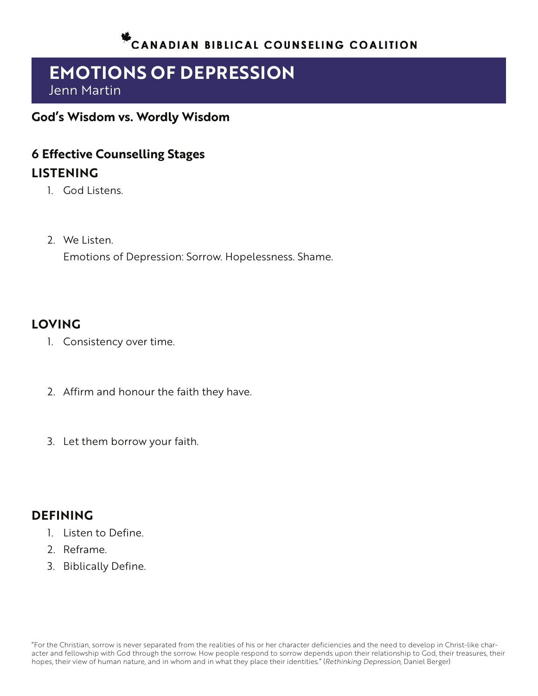# **EMOTIONS OF DEPRESSION** Jenn Martin

**God's Wisdom vs. Wordly Wisdom**

# **6 Effective Counselling Stages LISTENING**

- 1. God Listens.
- 2. We Listen. Emotions of Depression: Sorrow. Hopelessness. Shame.

#### **LOVING**

- 1. Consistency over time.
- 2. Affirm and honour the faith they have.
- 3. Let them borrow your faith.

#### **DEFINING**

- 1. Listen to Define.
- 2. Reframe.
- 3. Biblically Define.